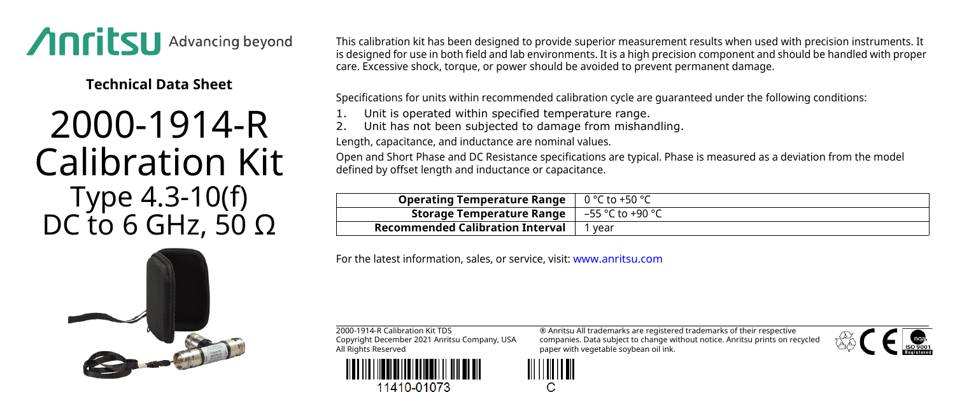

**Technical Data Sheet**

## 2000-1914-R Calibration Kit Type 4.3-10(f) DC to 6 GHz, 50  $Ω$

This calibration kit has been designed to provide superior measurement results when used with precision instruments. It is designed for use in both field and lab environments. It is a high precision component and should be handled with proper care. Excessive shock, torque, or power should be avoided to prevent permanent damage.

Specifications for units within recommended calibration cycle are guaranteed under the following conditions:

- Unit is operated within specified temperature range.
- Unit has not been subjected to damage from mishandling.

Length, capacitance, and inductance are nominal values.

Open and Short Phase and DC Resistance specifications are typical. Phase is measured as a deviation from the model defined by offset length and inductance or capacitance.

| <b>Operating Temperature Range</b> $\vert 0^{\circ}$ C to +50 °C          |      |
|---------------------------------------------------------------------------|------|
| <b>Storage Temperature Range</b> $\vert -55 \degree C$ to +90 $\degree C$ |      |
| Recommended Calibration Interval                                          | vear |

For the latest information, sales, or service, visit: [www.anritsu.com](http://www.anritsu.com)

2000-1914-R Calibration Kit TDS Copyright December 2021 Anritsu Company, USA All Rights Reserved



11410-01073

® Anritsu All trademarks are registered trademarks of their respective companies. Data subject to change without notice. Anritsu prints on recycled paper with vegetable soybean oil ink.